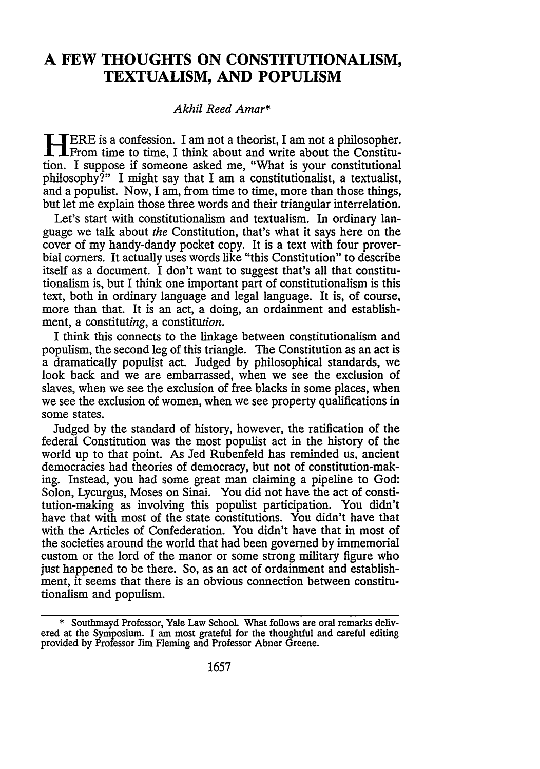## **A FEW THOUGHTS ON CONSTITUTIONALISM, TEXTUALISM, AND POPULISM**

## *Akhil Reed Amar\**

**<sup>1</sup> JERE** is a confession. I am not a theorist, I am not a philosopher. **XI**From time to time, I think about and write about the Constitution. I suppose if someone asked me, "What is your constitutional philosophy?" I might say that I am a constitutionalist, a textualist, and a populist. Now, I am, from time to time, more than those things, but let me explain those three words and their triangular interrelation.

Let's start with constitutionalism and textualism. In ordinary language we talk about *the* Constitution, that's what it says here on the cover of my handy-dandy pocket copy. It is a text with four proverbial corners. It actually uses words like "this Constitution" to describe itself as a document. I don't want to suggest that's all that constitutionalism is, but I think one important part of constitutionalism is this text, both in ordinary language and legal language. It is, of course, more than that. It is an act, a doing, an ordainment and establishment, a constituting, a constitution.

I think this connects to the linkage between constitutionalism and populism, the second leg of this triangle. The Constitution as an act is a dramatically populist act. Judged by philosophical standards, we look back and we are embarrassed, when we see the exclusion of slaves, when we see the exclusion of free blacks in some places, when we see the exclusion of women, when we see property qualifications in some states.

Judged by the standard of history, however, the ratification of the federal Constitution was the most populist act in the history of the world up to that point. As Jed Rubenfeld has reminded us, ancient democracies had theories of democracy, but not of constitution-making. Instead, you had some great man claiming a pipeline to God: Solon, Lycurgus, Moses on Sinai. You did not have the act of constitution-making as involving this populist participation. You didn't have that with most of the state constitutions. You didn't have that with the Articles of Confederation. You didn't have that in most of the societies around the world that had been governed by immemorial custom or the lord of the manor or some strong military figure who just happened to be there. So, as an act of ordainment and establishment, it seems that there is an obvious connection between constitutionalism and populism.

**<sup>\*</sup>** Southmayd Professor, Yale Law School What follows are oral remarks delivered at the Symposium. I am most grateful for the thoughtful and careful editing provided by Professor Jim Fleming and Professor Abner Greene.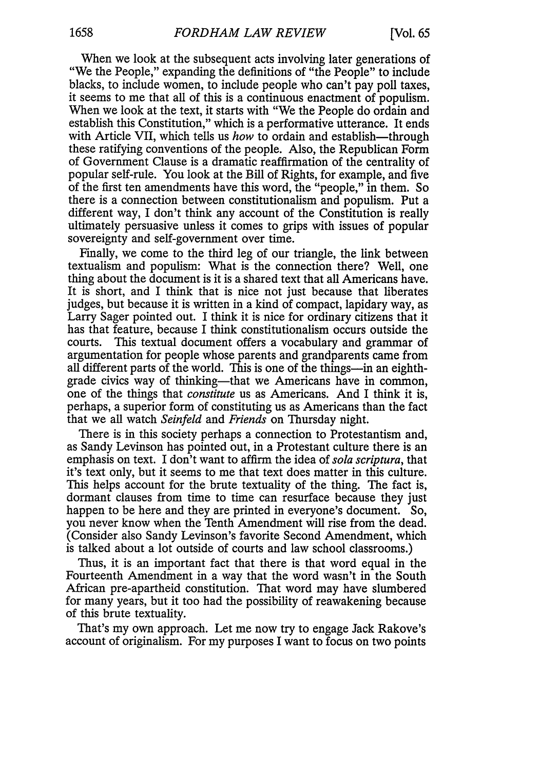When we look at the subsequent acts involving later generations of "We the People," expanding the definitions of "the People" to include blacks, to include women, to include people who can't pay poll taxes, it seems to me that all of this is a continuous enactment of populism. When we look at the text, it starts with "We the People do ordain and establish this Constitution," which is a performative utterance. It ends with Article VII, which tells us *how* to ordain and establish—through these ratifying conventions of the people. Also, the Republican Form of Government Clause is a dramatic reaffirmation of the centrality of popular self-rule. You look at the Bill of Rights, for example, and five of the first ten amendments have this word, the "people," in them. So there is a connection between constitutionalism and populism. Put a different way, I don't think any account of the Constitution is really ultimately persuasive unless it comes to grips with issues of popular sovereignty and self-government over time.

Finally, we come to the third leg of our triangle, the link between textualism and populism: What is the connection there? Well, one thing about the document is it is a shared text that all Americans have. It is short, and I think that is nice not just because that liberates judges, but because it is written in a kind of compact, lapidary way, as Larry Sager pointed out. I think it is nice for ordinary citizens that it has that feature, because I think constitutionalism occurs outside the courts. This textual document offers a vocabulary and grammar of argumentation for people whose parents and grandparents came from all different parts of the world. This is one of the things—in an eighthgrade civics way of thinking—that we Americans have in common, one of the things that *constitute* us as Americans. And I think it is, perhaps, a superior form of constituting us as Americans than the fact that we all watch *Seinfeld* and *Friends* on Thursday night.

There is in this society perhaps a connection to Protestantism and, as Sandy Levinson has pointed out, in a Protestant culture there is an emphasis on text. I don't want to affirm the idea of *sola scriptura,* that it's text only, but it seems to me that text does matter in this culture. This helps account for the brute textuality of the thing. The fact is, dormant clauses from time to time can resurface because they just happen to be here and they are printed in everyone's document. So, you never know when the Tenth Amendment will rise from the dead. (Consider also Sandy Levinson's favorite Second Amendment, which is talked about a lot outside of courts and law school classrooms.)

Thus, it is an important fact that there is that word equal in the Fourteenth Amendment in a way that the word wasn't in the South African pre-apartheid constitution. That word may have slumbered for many years, but it too had the possibility of reawakening because of this brute textuality.

That's my own approach. Let me now try to engage Jack Rakove's account of originalism. For my purposes I want to focus on two points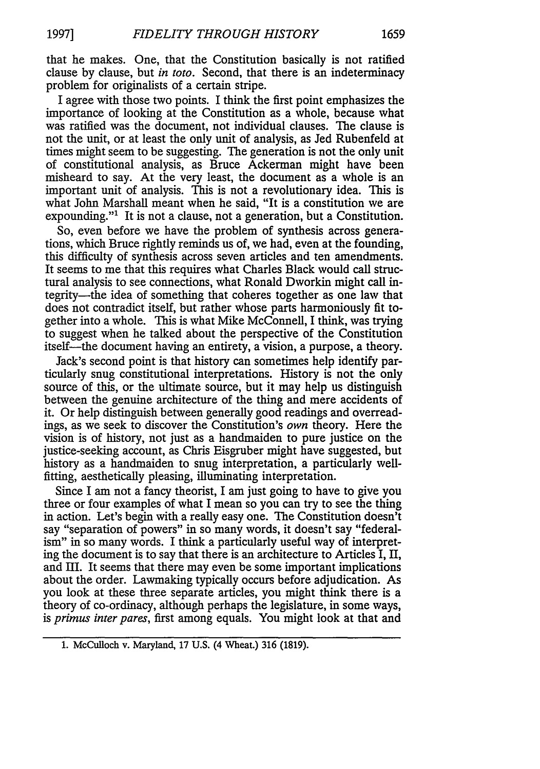that he makes. One, that the Constitution basically is not ratified clause by clause, but *in toto.* Second, that there is an indeterminacy problem for originalists of a certain stripe.

I agree with those two points. I think the first point emphasizes the importance of looking at the Constitution as a whole, because what was ratified was the document, not individual clauses. The clause is not the unit, or at least the only unit of analysis, as Jed Rubenfeld at times might seem to be suggesting. The generation is not the only unit of constitutional analysis, as Bruce Ackerman might have been misheard to say. At the very least, the document as a whole is an important unit of analysis. This is not a revolutionary idea. This is what John Marshall meant when he said, "It is a constitution we are expounding."<sup>1</sup> It is not a clause, not a generation, but a Constitution.

So, even before we have the problem of synthesis across generations, which Bruce rightly reminds us of, we had, even at the founding, this difficulty of synthesis across seven articles and ten amendments. It seems to me that this requires what Charles Black would call structural analysis to see connections, what Ronald Dworkin might call integrity—the idea of something that coheres together as one law that does not contradict itself, but rather whose parts harmoniously fit together into a whole. This is what Mike McConnell, I think, was trying to suggest when he talked about the perspective of the Constitution itself—the document having an entirety, a vision, a purpose, a theory.

Jack's second point is that history can sometimes help identify particularly snug constitutional interpretations. History is not the only source of this, or the ultimate source, but it may help us distinguish between the genuine architecture of the thing and mere accidents of it. Or help distinguish between generally good readings and overreadings, as we seek to discover the Constitution's *own* theory. Here the vision is of history, not just as a handmaiden to pure justice on the justice-seeking account, as Chris Eisgruber might have suggested, but history as a handmaiden to snug interpretation, a particularly wellfitting, aesthetically pleasing, illuminating interpretation.

Since I am not a fancy theorist, I am just going to have to give you three or four examples of what I mean so you can try to see the thing in action. Let's begin with a really easy one. The Constitution doesn't say "separation of powers" in so many words, it doesn't say "federalism" in so many words. I think a particularly useful way of interpreting the document is to say that there is an architecture to Articles I, II, and III. It seems that there may even be some important implications about the order. Lawmaking typically occurs before adjudication. As you look at these three separate articles, you might think there is a theory of co-ordinacy, although perhaps the legislature, in some ways, *is primus inter pares,* first among equals. You might look at that and

<sup>1.</sup> McCulloch v. Maryland, 17 U.S. (4 Wheat.) 316 (1819).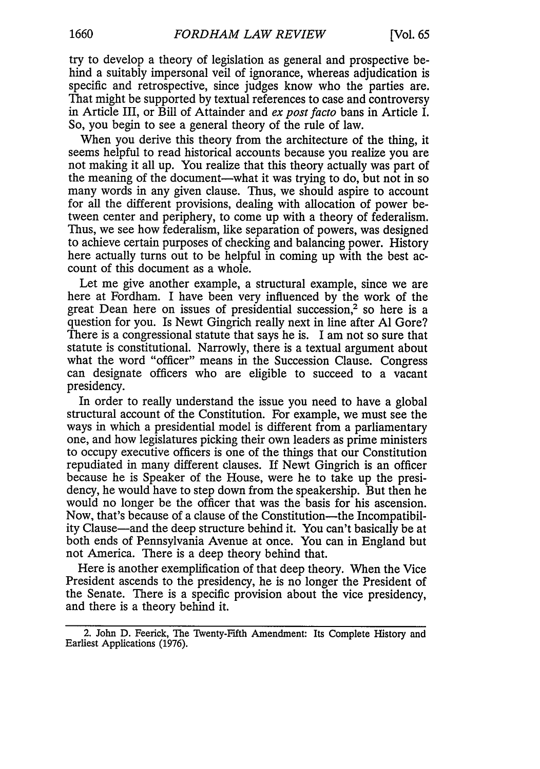try to develop a theory of legislation as general and prospective behind a suitably impersonal veil of ignorance, whereas adjudication is specific and retrospective, since judges know who the parties are. That might be supported by textual references to case and controversy in Article III, or Bill of Attainder and *ex post facto* bans in Article I. So, you begin to see a general theory of the rule of law.

When you derive this theory from the architecture of the thing, it seems helpful to read historical accounts because you realize you are not making it all up. You realize that this theory actually was part of the meaning of the document-what it was trying to do, but not in so many words in any given clause. Thus, we should aspire to account for all the different provisions, dealing with allocation of power between center and periphery, to come up with a theory of federalism. Thus, we see how federalism, like separation of powers, was designed to achieve certain purposes of checking and balancing power. History here actually turns out to be helpful in coming up with the best account of this document as a whole.

Let me give another example, a structural example, since we are here at Fordham. I have been very influenced by the work of the great Dean here on issues of presidential succession,<sup>2</sup> so here is a question for you. Is Newt Gingrich really next in line after **Al** Gore? There is a congressional statute that says he is. I am not so sure that statute is constitutional. Narrowly, there is a textual argument about what the word "officer" means in the Succession Clause. Congress can designate officers who are eligible to succeed to a vacant presidency.

In order to really understand the issue you need to have a global structural account of the Constitution. For example, we must see the ways in which a presidential model is different from a parliamentary one, and how legislatures picking their own leaders as prime ministers to occupy executive officers is one of the things that our Constitution repudiated in many different clauses. If Newt Gingrich is an officer because he is Speaker of the House, were he to take up the presidency, he would have to step down from the speakership. But then he would no longer be the officer that was the basis for his ascension. Now, that's because of a clause of the Constitution—the Incompatibility Clause-and the deep structure behind it. You can't basically be at both ends of Pennsylvania Avenue at once. You can in England but not America. There is a deep theory behind that.

Here is another exemplification of that deep theory. When the Vice President ascends to the presidency, he is no longer the President of the Senate. There is a specific provision about the vice presidency, and there is a theory behind it.

<sup>2.</sup> John **D.** Feerick, The Twenty-Fifth Amendment: Its Complete History and Earliest Applications (1976).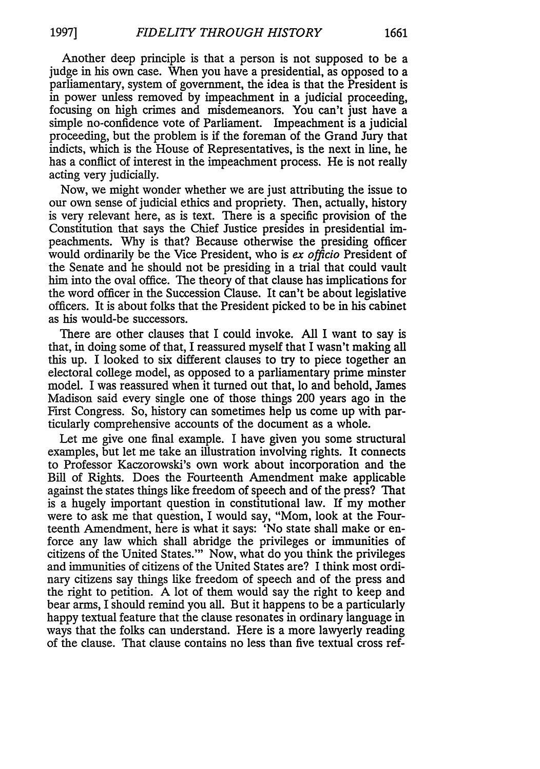Another deep principle is that a person is not supposed to be a judge in his own case. When you have a presidential, as opposed to a parliamentary, system of government, the idea is that the President is in power unless removed by impeachment in a judicial proceeding, focusing on high crimes and misdemeanors. You can't just have a simple no-confidence vote of Parliament. Impeachment is a judicial proceeding, but the problem is if the foreman of the Grand Jury that indicts, which is the House of Representatives, is the next in line, he has a conflict of interest in the impeachment process. He is not really acting very judicially.

Now, we might wonder whether we are just attributing the issue to our own sense of judicial ethics and propriety. Then, actually, history is very relevant here, as is text. There is a specific provision of the Constitution that says the Chief Justice presides in presidential impeachments. Why is that? Because otherwise the presiding officer would ordinarily be the Vice President, who is *ex officio* President of the Senate and he should not be presiding in a trial that could vault him into the oval office. The theory of that clause has implications for the word officer in the Succession Clause. It can't be about legislative officers. It is about folks that the President picked to be in his cabinet as his would-be successors.

There are other clauses that I could invoke. All I want to say is that, in doing some of that, I reassured myself that I wasn't making all this up. I looked to six different clauses to try to piece together an electoral college model, as opposed to a parliamentary prime minster model. I was reassured when it turned out that, lo and behold, James Madison said every single one of those things 200 years ago in the First Congress. So, history can sometimes help us come up with particularly comprehensive accounts of the document as a whole.

Let me give one final example. I have given you some structural examples, but let me take an illustration involving rights. It connects to Professor Kaczorowski's own work about incorporation and the Bill of Rights. Does the Fourteenth Amendment make applicable against the states things like freedom of speech and of the press? That is a hugely important question in constitutional law. If my mother were to ask me that question, I would say, "Mom, look at the Fourteenth Amendment, here is what it says: 'No state shall make or enforce any law which shall abridge the privileges or immunities of citizens of the United States."' Now, what do you think the privileges and immunities of citizens of the United States are? I think most ordinary citizens say things like freedom of speech and of the press and the right to petition. A lot of them would say the right to keep and bear arms, I should remind you all. But it happens to be a particularly happy textual feature that the clause resonates in ordinary language in ways that the folks can understand. Here is a more lawyerly reading of the clause. That clause contains no less than five textual cross ref-